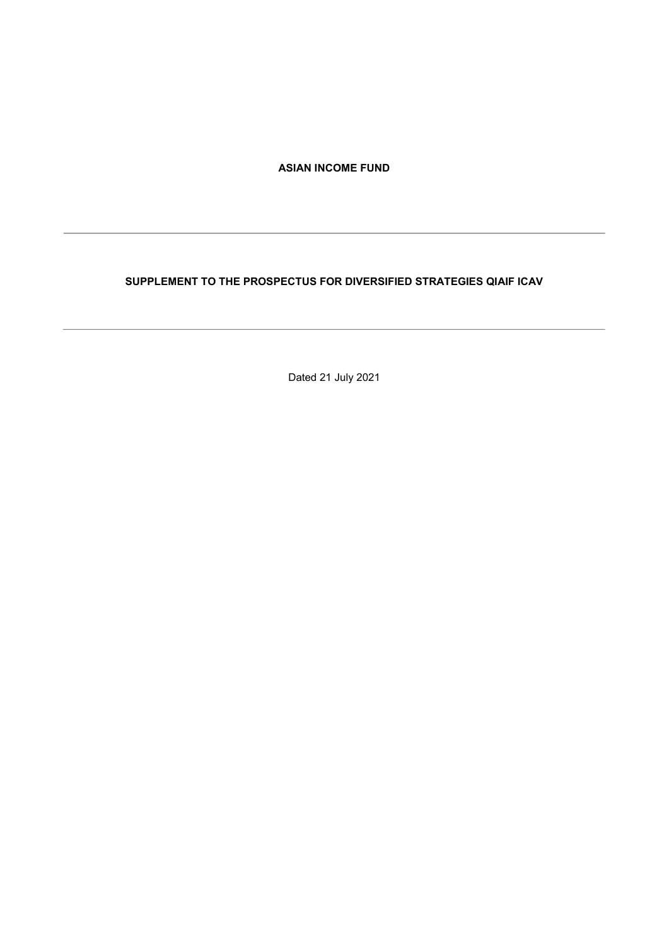ASIAN INCOME FUND

# SUPPLEMENT TO THE PROSPECTUS FOR DIVERSIFIED STRATEGIES QIAIF ICAV

Dated 21 July 2021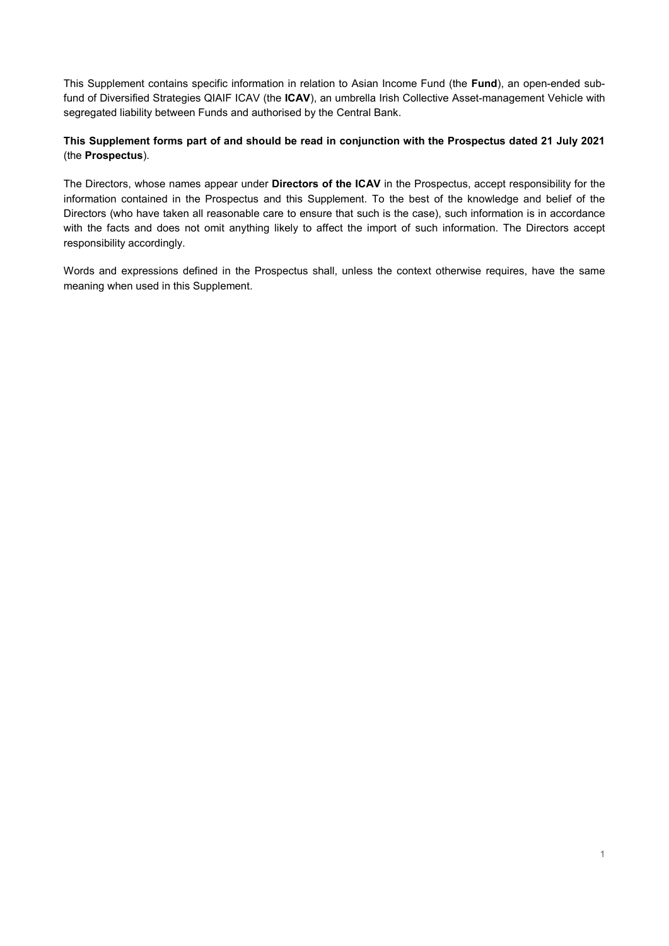This Supplement contains specific information in relation to Asian Income Fund (the Fund), an open-ended subfund of Diversified Strategies QIAIF ICAV (the ICAV), an umbrella Irish Collective Asset-management Vehicle with segregated liability between Funds and authorised by the Central Bank.

# This Supplement forms part of and should be read in conjunction with the Prospectus dated 21 July 2021 (the Prospectus).

The Directors, whose names appear under Directors of the ICAV in the Prospectus, accept responsibility for the information contained in the Prospectus and this Supplement. To the best of the knowledge and belief of the Directors (who have taken all reasonable care to ensure that such is the case), such information is in accordance with the facts and does not omit anything likely to affect the import of such information. The Directors accept responsibility accordingly.

Words and expressions defined in the Prospectus shall, unless the context otherwise requires, have the same meaning when used in this Supplement.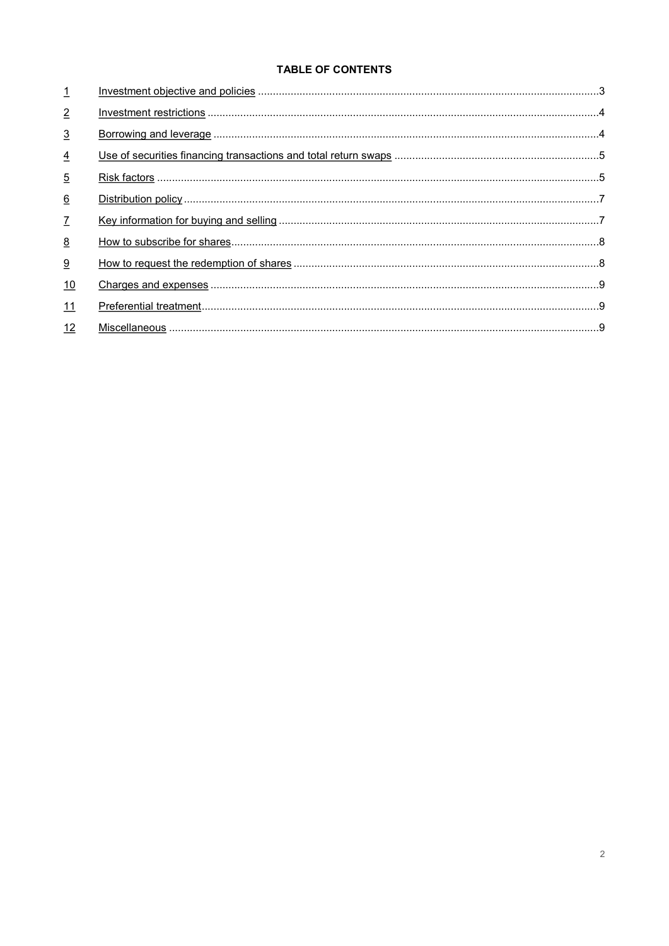# **TABLE OF CONTENTS**

| $\overline{1}$  |  |
|-----------------|--|
| $\overline{2}$  |  |
| $\overline{3}$  |  |
| $\overline{4}$  |  |
| $\overline{5}$  |  |
| $\underline{6}$ |  |
| $\mathcal{I}$   |  |
| 8               |  |
| 9               |  |
| 10              |  |
| 11              |  |
| 12              |  |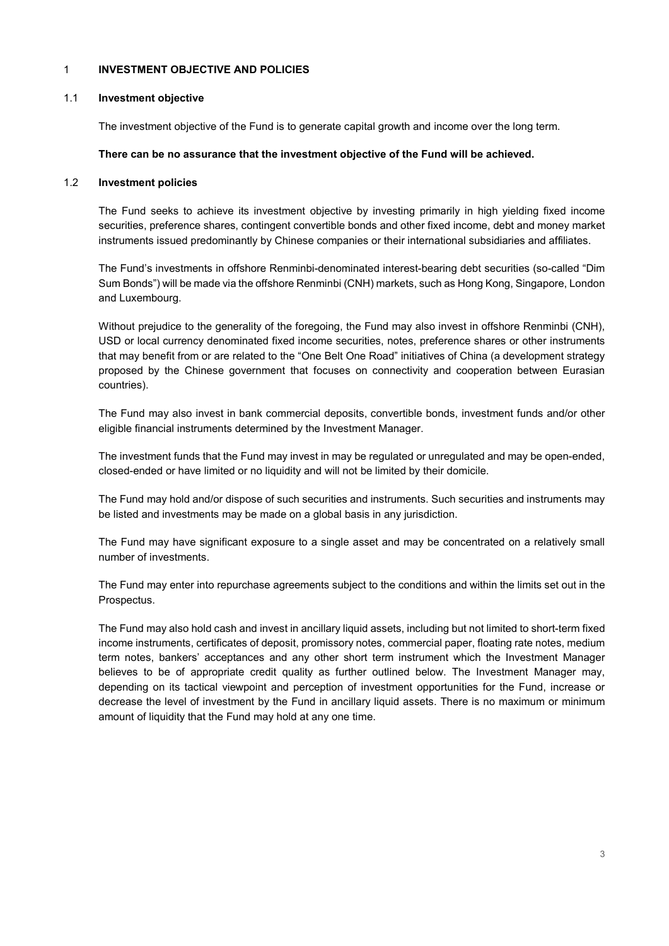### 1 INVESTMENT OBJECTIVE AND POLICIES

#### 1.1 Investment objective

The investment objective of the Fund is to generate capital growth and income over the long term.

#### There can be no assurance that the investment objective of the Fund will be achieved.

#### 1.2 Investment policies

The Fund seeks to achieve its investment objective by investing primarily in high yielding fixed income securities, preference shares, contingent convertible bonds and other fixed income, debt and money market instruments issued predominantly by Chinese companies or their international subsidiaries and affiliates.

The Fund's investments in offshore Renminbi-denominated interest-bearing debt securities (so-called "Dim Sum Bonds") will be made via the offshore Renminbi (CNH) markets, such as Hong Kong, Singapore, London and Luxembourg.

Without prejudice to the generality of the foregoing, the Fund may also invest in offshore Renminbi (CNH), USD or local currency denominated fixed income securities, notes, preference shares or other instruments that may benefit from or are related to the "One Belt One Road" initiatives of China (a development strategy proposed by the Chinese government that focuses on connectivity and cooperation between Eurasian countries).

The Fund may also invest in bank commercial deposits, convertible bonds, investment funds and/or other eligible financial instruments determined by the Investment Manager.

The investment funds that the Fund may invest in may be regulated or unregulated and may be open-ended, closed-ended or have limited or no liquidity and will not be limited by their domicile.

The Fund may hold and/or dispose of such securities and instruments. Such securities and instruments may be listed and investments may be made on a global basis in any jurisdiction.

The Fund may have significant exposure to a single asset and may be concentrated on a relatively small number of investments.

The Fund may enter into repurchase agreements subject to the conditions and within the limits set out in the Prospectus.

The Fund may also hold cash and invest in ancillary liquid assets, including but not limited to short-term fixed income instruments, certificates of deposit, promissory notes, commercial paper, floating rate notes, medium term notes, bankers' acceptances and any other short term instrument which the Investment Manager believes to be of appropriate credit quality as further outlined below. The Investment Manager may, depending on its tactical viewpoint and perception of investment opportunities for the Fund, increase or decrease the level of investment by the Fund in ancillary liquid assets. There is no maximum or minimum amount of liquidity that the Fund may hold at any one time.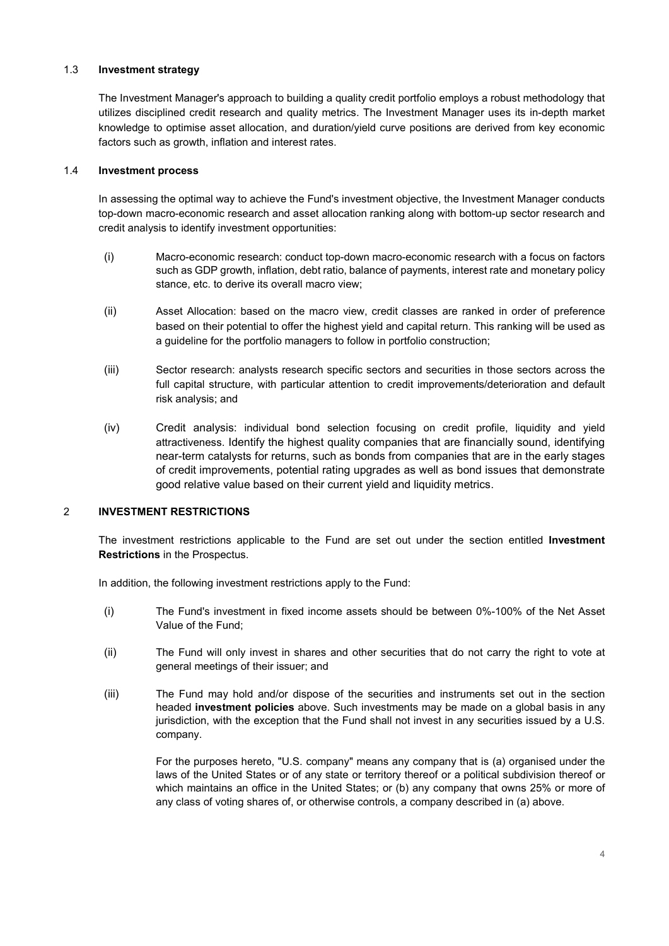### 1.3 Investment strategy

The Investment Manager's approach to building a quality credit portfolio employs a robust methodology that utilizes disciplined credit research and quality metrics. The Investment Manager uses its in-depth market knowledge to optimise asset allocation, and duration/yield curve positions are derived from key economic factors such as growth, inflation and interest rates.

# 1.4 Investment process

In assessing the optimal way to achieve the Fund's investment objective, the Investment Manager conducts top-down macro-economic research and asset allocation ranking along with bottom-up sector research and credit analysis to identify investment opportunities:

- (i) Macro-economic research: conduct top-down macro-economic research with a focus on factors such as GDP growth, inflation, debt ratio, balance of payments, interest rate and monetary policy stance, etc. to derive its overall macro view;
- (ii) Asset Allocation: based on the macro view, credit classes are ranked in order of preference based on their potential to offer the highest yield and capital return. This ranking will be used as a guideline for the portfolio managers to follow in portfolio construction;
- (iii) Sector research: analysts research specific sectors and securities in those sectors across the full capital structure, with particular attention to credit improvements/deterioration and default risk analysis; and
- (iv) Credit analysis: individual bond selection focusing on credit profile, liquidity and yield attractiveness. Identify the highest quality companies that are financially sound, identifying near-term catalysts for returns, such as bonds from companies that are in the early stages of credit improvements, potential rating upgrades as well as bond issues that demonstrate good relative value based on their current yield and liquidity metrics.

# 2 INVESTMENT RESTRICTIONS

The investment restrictions applicable to the Fund are set out under the section entitled Investment Restrictions in the Prospectus.

In addition, the following investment restrictions apply to the Fund:

- (i) The Fund's investment in fixed income assets should be between 0%-100% of the Net Asset Value of the Fund;
- (ii) The Fund will only invest in shares and other securities that do not carry the right to vote at general meetings of their issuer; and
- (iii) The Fund may hold and/or dispose of the securities and instruments set out in the section headed **investment policies** above. Such investments may be made on a global basis in any jurisdiction, with the exception that the Fund shall not invest in any securities issued by a U.S. company.

For the purposes hereto, "U.S. company" means any company that is (a) organised under the laws of the United States or of any state or territory thereof or a political subdivision thereof or which maintains an office in the United States; or (b) any company that owns 25% or more of any class of voting shares of, or otherwise controls, a company described in (a) above.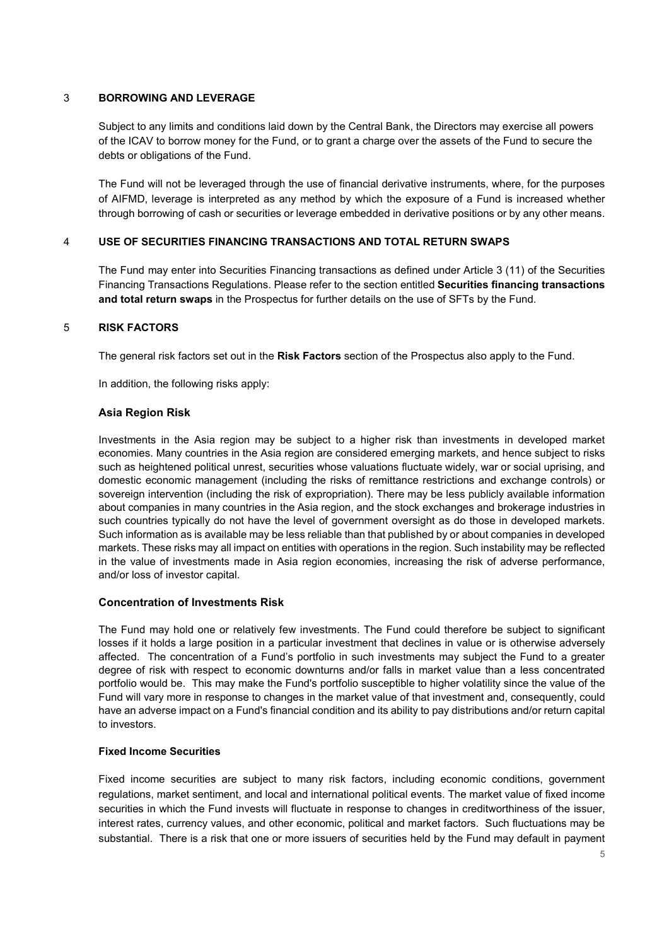# 3 BORROWING AND LEVERAGE

Subject to any limits and conditions laid down by the Central Bank, the Directors may exercise all powers of the ICAV to borrow money for the Fund, or to grant a charge over the assets of the Fund to secure the debts or obligations of the Fund.

The Fund will not be leveraged through the use of financial derivative instruments, where, for the purposes of AIFMD, leverage is interpreted as any method by which the exposure of a Fund is increased whether through borrowing of cash or securities or leverage embedded in derivative positions or by any other means.

### 4 USE OF SECURITIES FINANCING TRANSACTIONS AND TOTAL RETURN SWAPS

The Fund may enter into Securities Financing transactions as defined under Article 3 (11) of the Securities Financing Transactions Regulations. Please refer to the section entitled Securities financing transactions and total return swaps in the Prospectus for further details on the use of SFTs by the Fund.

### 5 RISK FACTORS

The general risk factors set out in the Risk Factors section of the Prospectus also apply to the Fund.

In addition, the following risks apply:

# Asia Region Risk

Investments in the Asia region may be subject to a higher risk than investments in developed market economies. Many countries in the Asia region are considered emerging markets, and hence subject to risks such as heightened political unrest, securities whose valuations fluctuate widely, war or social uprising, and domestic economic management (including the risks of remittance restrictions and exchange controls) or sovereign intervention (including the risk of expropriation). There may be less publicly available information about companies in many countries in the Asia region, and the stock exchanges and brokerage industries in such countries typically do not have the level of government oversight as do those in developed markets. Such information as is available may be less reliable than that published by or about companies in developed markets. These risks may all impact on entities with operations in the region. Such instability may be reflected in the value of investments made in Asia region economies, increasing the risk of adverse performance, and/or loss of investor capital.

### Concentration of Investments Risk

The Fund may hold one or relatively few investments. The Fund could therefore be subject to significant losses if it holds a large position in a particular investment that declines in value or is otherwise adversely affected. The concentration of a Fund's portfolio in such investments may subject the Fund to a greater degree of risk with respect to economic downturns and/or falls in market value than a less concentrated portfolio would be. This may make the Fund's portfolio susceptible to higher volatility since the value of the Fund will vary more in response to changes in the market value of that investment and, consequently, could have an adverse impact on a Fund's financial condition and its ability to pay distributions and/or return capital to investors.

### Fixed Income Securities

Fixed income securities are subject to many risk factors, including economic conditions, government regulations, market sentiment, and local and international political events. The market value of fixed income securities in which the Fund invests will fluctuate in response to changes in creditworthiness of the issuer, interest rates, currency values, and other economic, political and market factors. Such fluctuations may be substantial. There is a risk that one or more issuers of securities held by the Fund may default in payment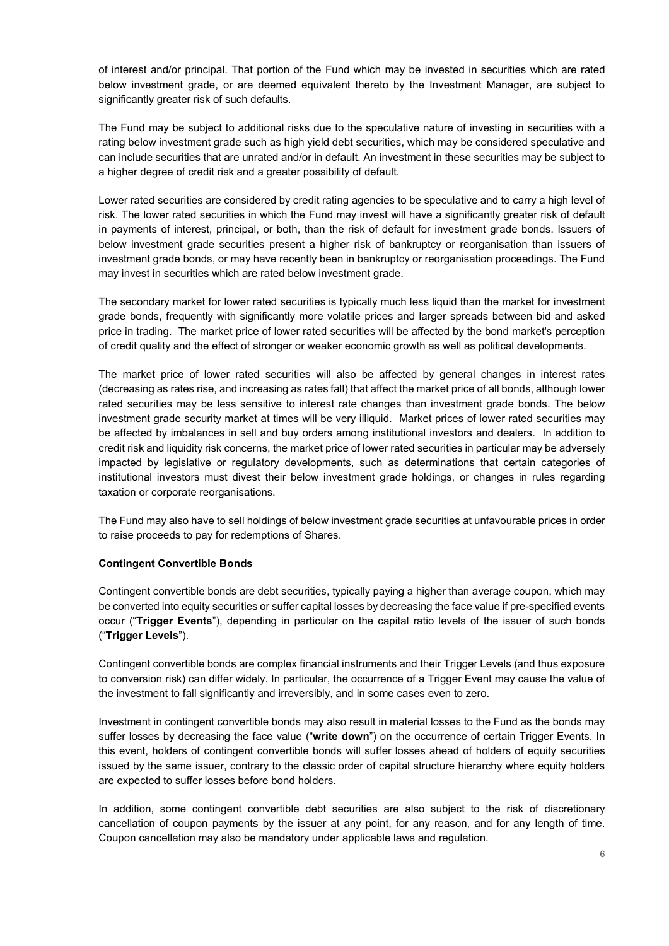of interest and/or principal. That portion of the Fund which may be invested in securities which are rated below investment grade, or are deemed equivalent thereto by the Investment Manager, are subject to significantly greater risk of such defaults.

The Fund may be subject to additional risks due to the speculative nature of investing in securities with a rating below investment grade such as high yield debt securities, which may be considered speculative and can include securities that are unrated and/or in default. An investment in these securities may be subject to a higher degree of credit risk and a greater possibility of default.

Lower rated securities are considered by credit rating agencies to be speculative and to carry a high level of risk. The lower rated securities in which the Fund may invest will have a significantly greater risk of default in payments of interest, principal, or both, than the risk of default for investment grade bonds. Issuers of below investment grade securities present a higher risk of bankruptcy or reorganisation than issuers of investment grade bonds, or may have recently been in bankruptcy or reorganisation proceedings. The Fund may invest in securities which are rated below investment grade.

The secondary market for lower rated securities is typically much less liquid than the market for investment grade bonds, frequently with significantly more volatile prices and larger spreads between bid and asked price in trading. The market price of lower rated securities will be affected by the bond market's perception of credit quality and the effect of stronger or weaker economic growth as well as political developments.

The market price of lower rated securities will also be affected by general changes in interest rates (decreasing as rates rise, and increasing as rates fall) that affect the market price of all bonds, although lower rated securities may be less sensitive to interest rate changes than investment grade bonds. The below investment grade security market at times will be very illiquid. Market prices of lower rated securities may be affected by imbalances in sell and buy orders among institutional investors and dealers. In addition to credit risk and liquidity risk concerns, the market price of lower rated securities in particular may be adversely impacted by legislative or regulatory developments, such as determinations that certain categories of institutional investors must divest their below investment grade holdings, or changes in rules regarding taxation or corporate reorganisations.

The Fund may also have to sell holdings of below investment grade securities at unfavourable prices in order to raise proceeds to pay for redemptions of Shares.

# Contingent Convertible Bonds

Contingent convertible bonds are debt securities, typically paying a higher than average coupon, which may be converted into equity securities or suffer capital losses by decreasing the face value if pre-specified events occur ("Trigger Events"), depending in particular on the capital ratio levels of the issuer of such bonds ("Trigger Levels").

Contingent convertible bonds are complex financial instruments and their Trigger Levels (and thus exposure to conversion risk) can differ widely. In particular, the occurrence of a Trigger Event may cause the value of the investment to fall significantly and irreversibly, and in some cases even to zero.

Investment in contingent convertible bonds may also result in material losses to the Fund as the bonds may suffer losses by decreasing the face value ("write down") on the occurrence of certain Trigger Events. In this event, holders of contingent convertible bonds will suffer losses ahead of holders of equity securities issued by the same issuer, contrary to the classic order of capital structure hierarchy where equity holders are expected to suffer losses before bond holders.

In addition, some contingent convertible debt securities are also subject to the risk of discretionary cancellation of coupon payments by the issuer at any point, for any reason, and for any length of time. Coupon cancellation may also be mandatory under applicable laws and regulation.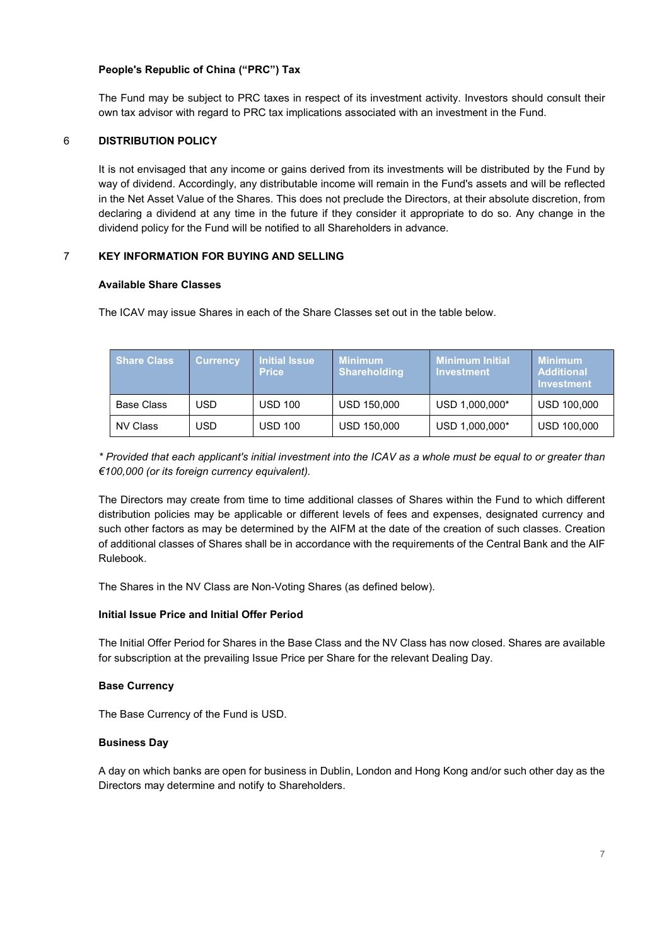# People's Republic of China ("PRC") Tax

The Fund may be subject to PRC taxes in respect of its investment activity. Investors should consult their own tax advisor with regard to PRC tax implications associated with an investment in the Fund.

# 6 DISTRIBUTION POLICY

It is not envisaged that any income or gains derived from its investments will be distributed by the Fund by way of dividend. Accordingly, any distributable income will remain in the Fund's assets and will be reflected in the Net Asset Value of the Shares. This does not preclude the Directors, at their absolute discretion, from declaring a dividend at any time in the future if they consider it appropriate to do so. Any change in the dividend policy for the Fund will be notified to all Shareholders in advance.

# 7 KEY INFORMATION FOR BUYING AND SELLING

### Available Share Classes

The ICAV may issue Shares in each of the Share Classes set out in the table below.

| Share Class       | <b>Currency</b> | <b>Initial Issue</b><br><b>Price</b> | <b>Minimum</b><br><b>Shareholding</b> | <b>Minimum Initial</b><br><b>Investment</b> | <u>Minimum.</u><br><b>Additional</b><br>Investment |
|-------------------|-----------------|--------------------------------------|---------------------------------------|---------------------------------------------|----------------------------------------------------|
| <b>Base Class</b> | USD             | <b>USD 100</b>                       | USD 150,000                           | USD 1,000,000*                              | <b>USD 100,000</b>                                 |
| NV Class          | USD             | <b>USD 100</b>                       | USD 150,000                           | USD 1,000,000*                              | <b>USD 100,000</b>                                 |

\* Provided that each applicant's initial investment into the ICAV as a whole must be equal to or greater than €100,000 (or its foreign currency equivalent).

The Directors may create from time to time additional classes of Shares within the Fund to which different distribution policies may be applicable or different levels of fees and expenses, designated currency and such other factors as may be determined by the AIFM at the date of the creation of such classes. Creation of additional classes of Shares shall be in accordance with the requirements of the Central Bank and the AIF Rulebook.

The Shares in the NV Class are Non-Voting Shares (as defined below).

### Initial Issue Price and Initial Offer Period

The Initial Offer Period for Shares in the Base Class and the NV Class has now closed. Shares are available for subscription at the prevailing Issue Price per Share for the relevant Dealing Day.

### Base Currency

The Base Currency of the Fund is USD.

### Business Day

A day on which banks are open for business in Dublin, London and Hong Kong and/or such other day as the Directors may determine and notify to Shareholders.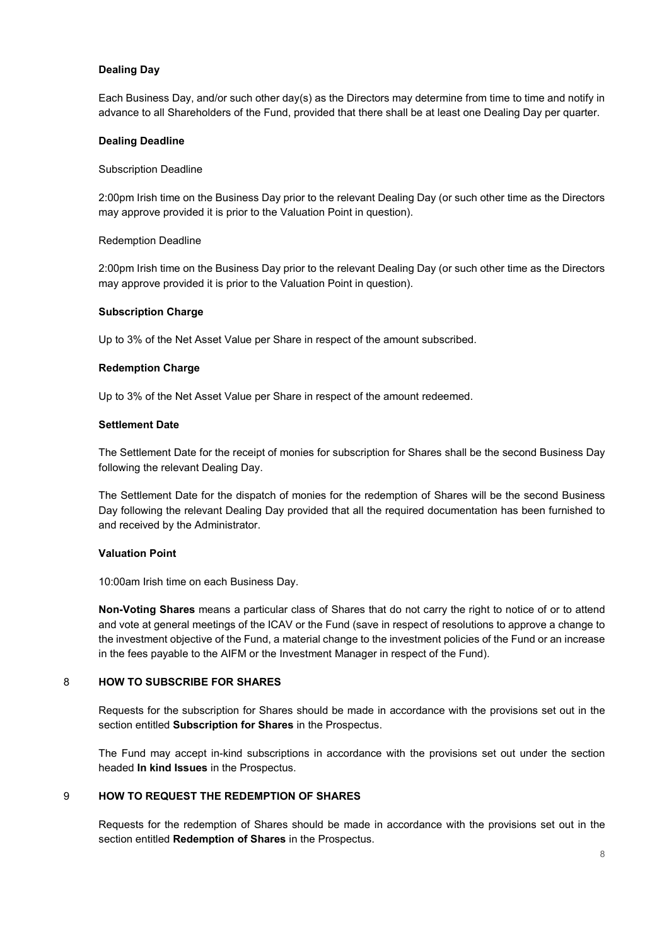# Dealing Day

Each Business Day, and/or such other day(s) as the Directors may determine from time to time and notify in advance to all Shareholders of the Fund, provided that there shall be at least one Dealing Day per quarter.

#### Dealing Deadline

#### Subscription Deadline

2:00pm Irish time on the Business Day prior to the relevant Dealing Day (or such other time as the Directors may approve provided it is prior to the Valuation Point in question).

#### Redemption Deadline

2:00pm Irish time on the Business Day prior to the relevant Dealing Day (or such other time as the Directors may approve provided it is prior to the Valuation Point in question).

#### Subscription Charge

Up to 3% of the Net Asset Value per Share in respect of the amount subscribed.

#### Redemption Charge

Up to 3% of the Net Asset Value per Share in respect of the amount redeemed.

#### Settlement Date

The Settlement Date for the receipt of monies for subscription for Shares shall be the second Business Day following the relevant Dealing Day.

The Settlement Date for the dispatch of monies for the redemption of Shares will be the second Business Day following the relevant Dealing Day provided that all the required documentation has been furnished to and received by the Administrator.

### Valuation Point

10:00am Irish time on each Business Day.

Non-Voting Shares means a particular class of Shares that do not carry the right to notice of or to attend and vote at general meetings of the ICAV or the Fund (save in respect of resolutions to approve a change to the investment objective of the Fund, a material change to the investment policies of the Fund or an increase in the fees payable to the AIFM or the Investment Manager in respect of the Fund).

# 8 HOW TO SUBSCRIBE FOR SHARES

Requests for the subscription for Shares should be made in accordance with the provisions set out in the section entitled Subscription for Shares in the Prospectus.

The Fund may accept in-kind subscriptions in accordance with the provisions set out under the section headed In kind Issues in the Prospectus.

### 9 HOW TO REQUEST THE REDEMPTION OF SHARES

Requests for the redemption of Shares should be made in accordance with the provisions set out in the section entitled Redemption of Shares in the Prospectus.